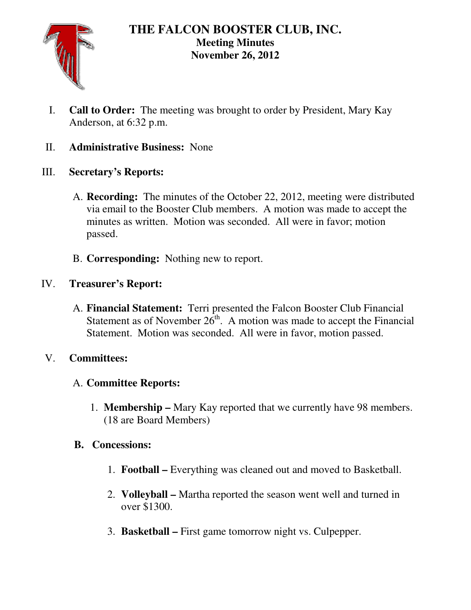

## **THE FALCON BOOSTER CLUB, INC. Meeting Minutes November 26, 2012**

I. **Call to Order:** The meeting was brought to order by President, Mary Kay Anderson, at 6:32 p.m.

## II. **Administrative Business:** None

- III. **Secretary's Reports:** 
	- A. **Recording:** The minutes of the October 22, 2012, meeting were distributed via email to the Booster Club members. A motion was made to accept the minutes as written. Motion was seconded. All were in favor; motion passed.
	- B. **Corresponding:** Nothing new to report.

# IV. **Treasurer's Report:**

A. **Financial Statement:** Terri presented the Falcon Booster Club Financial Statement as of November  $2\tilde{6}^{th}$ . A motion was made to accept the Financial Statement. Motion was seconded. All were in favor, motion passed.

## V. **Committees:**

## A. **Committee Reports:**

1. **Membership –** Mary Kay reported that we currently have 98 members. (18 are Board Members)

## **B. Concessions:**

- 1. **Football** Everything was cleaned out and moved to Basketball.
- 2. **Volleyball –** Martha reported the season went well and turned in over \$1300.
- 3. **Basketball** First game tomorrow night vs. Culpepper.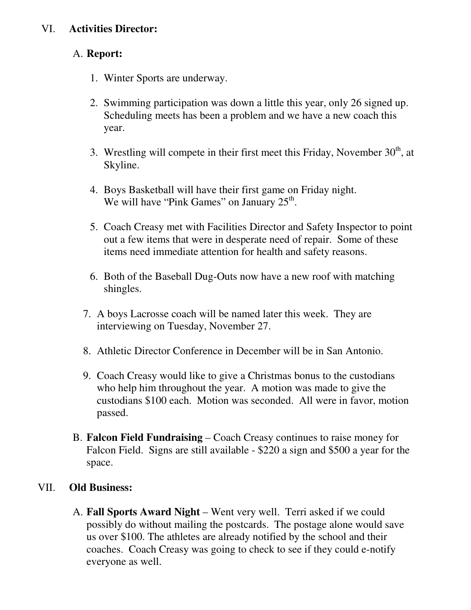### VI. **Activities Director:**

#### A. **Report:**

- 1. Winter Sports are underway.
- 2. Swimming participation was down a little this year, only 26 signed up. Scheduling meets has been a problem and we have a new coach this year.
- 3. Wrestling will compete in their first meet this Friday, November  $30<sup>th</sup>$ , at Skyline.
- 4. Boys Basketball will have their first game on Friday night. We will have "Pink Games" on January  $25<sup>th</sup>$ .
- 5. Coach Creasy met with Facilities Director and Safety Inspector to point out a few items that were in desperate need of repair. Some of these items need immediate attention for health and safety reasons.
- 6. Both of the Baseball Dug-Outs now have a new roof with matching shingles.
- 7. A boys Lacrosse coach will be named later this week. They are interviewing on Tuesday, November 27.
- 8. Athletic Director Conference in December will be in San Antonio.
- 9. Coach Creasy would like to give a Christmas bonus to the custodians who help him throughout the year. A motion was made to give the custodians \$100 each. Motion was seconded. All were in favor, motion passed.
- B. **Falcon Field Fundraising** Coach Creasy continues to raise money for Falcon Field. Signs are still available - \$220 a sign and \$500 a year for the space.

#### VII. **Old Business:**

A. **Fall Sports Award Night** – Went very well. Terri asked if we could possibly do without mailing the postcards. The postage alone would save us over \$100. The athletes are already notified by the school and their coaches. Coach Creasy was going to check to see if they could e-notify everyone as well.